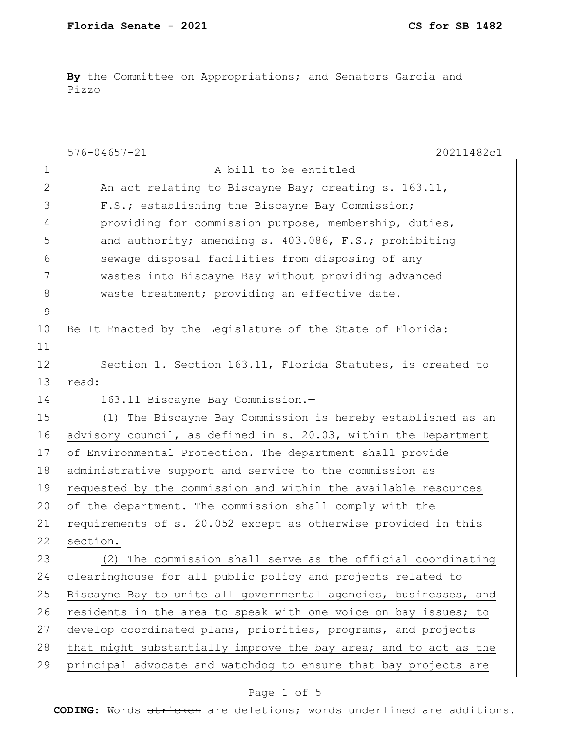**By** the Committee on Appropriations; and Senators Garcia and Pizzo

|               | $576 - 04657 - 21$<br>20211482c1                                 |
|---------------|------------------------------------------------------------------|
| $\mathbf 1$   | A bill to be entitled                                            |
| 2             | An act relating to Biscayne Bay; creating s. 163.11,             |
| 3             | F.S.; establishing the Biscayne Bay Commission;                  |
| 4             | providing for commission purpose, membership, duties,            |
| 5             | and authority; amending s. 403.086, F.S.; prohibiting            |
| 6             | sewage disposal facilities from disposing of any                 |
| 7             | wastes into Biscayne Bay without providing advanced              |
| 8             | waste treatment; providing an effective date.                    |
| $\mathcal{G}$ |                                                                  |
| 10            | Be It Enacted by the Legislature of the State of Florida:        |
| 11            |                                                                  |
| 12            | Section 1. Section 163.11, Florida Statutes, is created to       |
| 13            | read:                                                            |
| 14            | 163.11 Biscayne Bay Commission.-                                 |
| 15            | (1) The Biscayne Bay Commission is hereby established as an      |
| 16            | advisory council, as defined in s. 20.03, within the Department  |
| 17            | of Environmental Protection. The department shall provide        |
| 18            | administrative support and service to the commission as          |
| 19            | requested by the commission and within the available resources   |
| 20            | of the department. The commission shall comply with the          |
| 21            | requirements of s. 20.052 except as otherwise provided in this   |
| 22            | section.                                                         |
| 23            | (2) The commission shall serve as the official coordinating      |
| 24            | clearinghouse for all public policy and projects related to      |
| 25            | Biscayne Bay to unite all governmental agencies, businesses, and |
| 26            | residents in the area to speak with one voice on bay issues; to  |
| 27            | develop coordinated plans, priorities, programs, and projects    |
| 28            | that might substantially improve the bay area; and to act as the |
| 29            | principal advocate and watchdog to ensure that bay projects are  |
|               |                                                                  |

## Page 1 of 5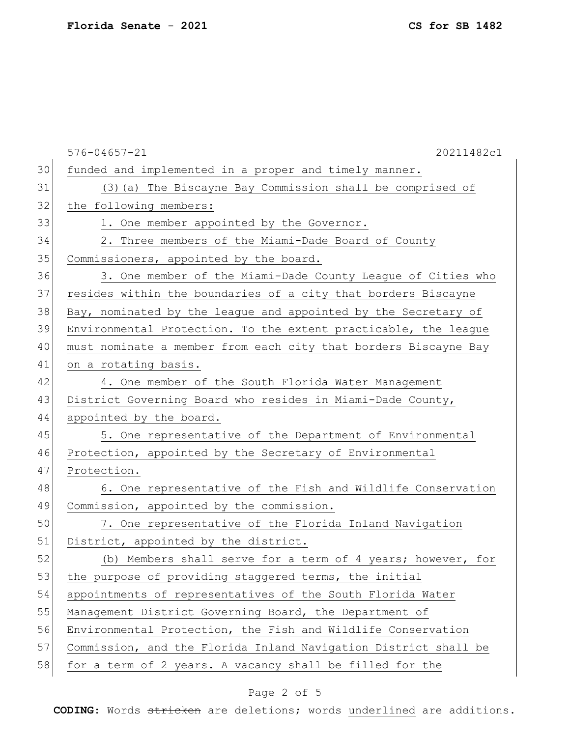|    | 20211482c1<br>$576 - 04657 - 21$                                |
|----|-----------------------------------------------------------------|
| 30 | funded and implemented in a proper and timely manner.           |
| 31 | (3) (a) The Biscayne Bay Commission shall be comprised of       |
| 32 | the following members:                                          |
| 33 | 1. One member appointed by the Governor.                        |
| 34 | 2. Three members of the Miami-Dade Board of County              |
| 35 | Commissioners, appointed by the board.                          |
| 36 | 3. One member of the Miami-Dade County League of Cities who     |
| 37 | resides within the boundaries of a city that borders Biscayne   |
| 38 | Bay, nominated by the league and appointed by the Secretary of  |
| 39 | Environmental Protection. To the extent practicable, the league |
| 40 | must nominate a member from each city that borders Biscayne Bay |
| 41 | on a rotating basis.                                            |
| 42 | 4. One member of the South Florida Water Management             |
| 43 | District Governing Board who resides in Miami-Dade County,      |
| 44 | appointed by the board.                                         |
| 45 | 5. One representative of the Department of Environmental        |
| 46 | Protection, appointed by the Secretary of Environmental         |
| 47 | Protection.                                                     |
| 48 | 6. One representative of the Fish and Wildlife Conservation     |
| 49 | Commission, appointed by the commission.                        |
| 50 | 7. One representative of the Florida Inland Navigation          |
| 51 | District, appointed by the district.                            |
| 52 | (b) Members shall serve for a term of 4 years; however, for     |
| 53 | the purpose of providing staggered terms, the initial           |
| 54 | appointments of representatives of the South Florida Water      |
| 55 | Management District Governing Board, the Department of          |
| 56 | Environmental Protection, the Fish and Wildlife Conservation    |
| 57 | Commission, and the Florida Inland Navigation District shall be |
| 58 | for a term of 2 years. A vacancy shall be filled for the        |

## Page 2 of 5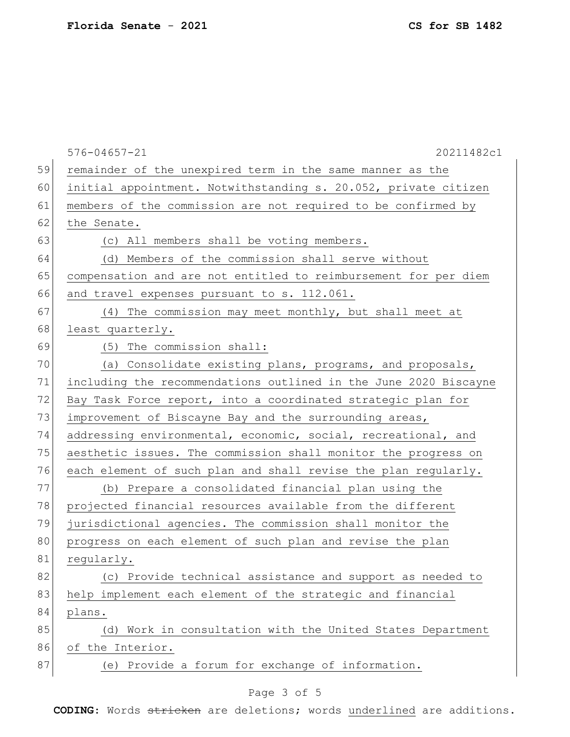|    | $576 - 04657 - 21$<br>20211482c1                                 |
|----|------------------------------------------------------------------|
| 59 | remainder of the unexpired term in the same manner as the        |
| 60 | initial appointment. Notwithstanding s. 20.052, private citizen  |
| 61 | members of the commission are not required to be confirmed by    |
| 62 | the Senate.                                                      |
| 63 | (c) All members shall be voting members.                         |
| 64 | (d) Members of the commission shall serve without                |
| 65 | compensation and are not entitled to reimbursement for per diem  |
| 66 | and travel expenses pursuant to s. 112.061.                      |
| 67 | (4) The commission may meet monthly, but shall meet at           |
| 68 | least quarterly.                                                 |
| 69 | (5) The commission shall:                                        |
| 70 | (a) Consolidate existing plans, programs, and proposals,         |
| 71 | including the recommendations outlined in the June 2020 Biscayne |
| 72 | Bay Task Force report, into a coordinated strategic plan for     |
| 73 | improvement of Biscayne Bay and the surrounding areas,           |
| 74 | addressing environmental, economic, social, recreational, and    |
| 75 | aesthetic issues. The commission shall monitor the progress on   |
| 76 | each element of such plan and shall revise the plan regularly.   |
| 77 | (b) Prepare a consolidated financial plan using the              |
| 78 | projected financial resources available from the different       |
| 79 | jurisdictional agencies. The commission shall monitor the        |
| 80 | progress on each element of such plan and revise the plan        |
| 81 | regularly.                                                       |
| 82 | (c) Provide technical assistance and support as needed to        |
| 83 | help implement each element of the strategic and financial       |
| 84 | plans.                                                           |
| 85 | (d) Work in consultation with the United States Department       |
| 86 | of the Interior.                                                 |
| 87 | (e) Provide a forum for exchange of information.                 |

# Page 3 of 5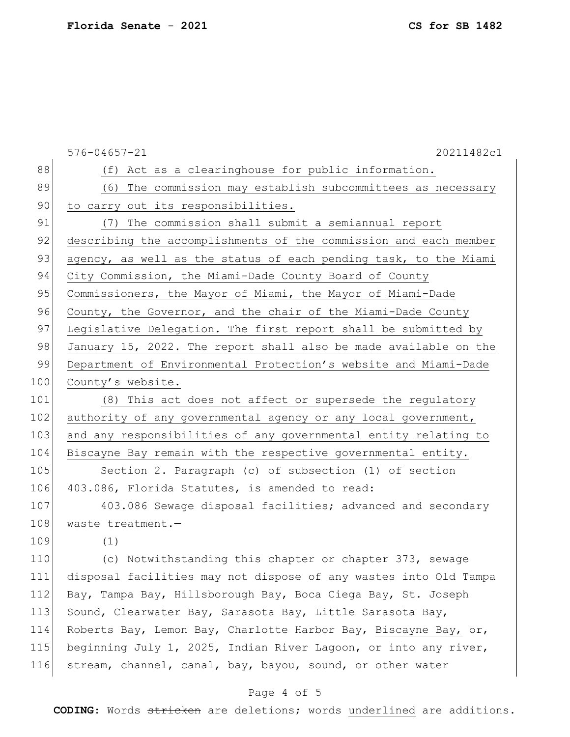|       | $576 - 04657 - 21$<br>20211482c1                                 |
|-------|------------------------------------------------------------------|
| 88    | (f) Act as a clearinghouse for public information.               |
| 89    | (6) The commission may establish subcommittees as necessary      |
| 90    | to carry out its responsibilities.                               |
| 91    | (7) The commission shall submit a semiannual report              |
| 92    | describing the accomplishments of the commission and each member |
| 93    | agency, as well as the status of each pending task, to the Miami |
| 94    | City Commission, the Miami-Dade County Board of County           |
| 95    | Commissioners, the Mayor of Miami, the Mayor of Miami-Dade       |
| 96    | County, the Governor, and the chair of the Miami-Dade County     |
| 97    | Legislative Delegation. The first report shall be submitted by   |
| 98    | January 15, 2022. The report shall also be made available on the |
| 99    | Department of Environmental Protection's website and Miami-Dade  |
| 100   | County's website.                                                |
| 101   | (8) This act does not affect or supersede the regulatory         |
| 102   | authority of any governmental agency or any local government,    |
| 103   | and any responsibilities of any governmental entity relating to  |
| 104   | Biscayne Bay remain with the respective governmental entity.     |
| 105   | Section 2. Paragraph (c) of subsection (1) of section            |
| 106   | 403.086, Florida Statutes, is amended to read:                   |
| 107   | 403.086 Sewage disposal facilities; advanced and secondary       |
| 108   | waste treatment.-                                                |
| 109   | (1)                                                              |
| $110$ | (c) Notwithstanding this chapter or chapter 373, sewage          |
| 111   | disposal facilities may not dispose of any wastes into Old Tampa |
| 112   | Bay, Tampa Bay, Hillsborough Bay, Boca Ciega Bay, St. Joseph     |
| 113   | Sound, Clearwater Bay, Sarasota Bay, Little Sarasota Bay,        |
| 114   | Roberts Bay, Lemon Bay, Charlotte Harbor Bay, Biscayne Bay, or,  |
| 115   | beginning July 1, 2025, Indian River Lagoon, or into any river,  |
| 116   | stream, channel, canal, bay, bayou, sound, or other water        |

## Page 4 of 5